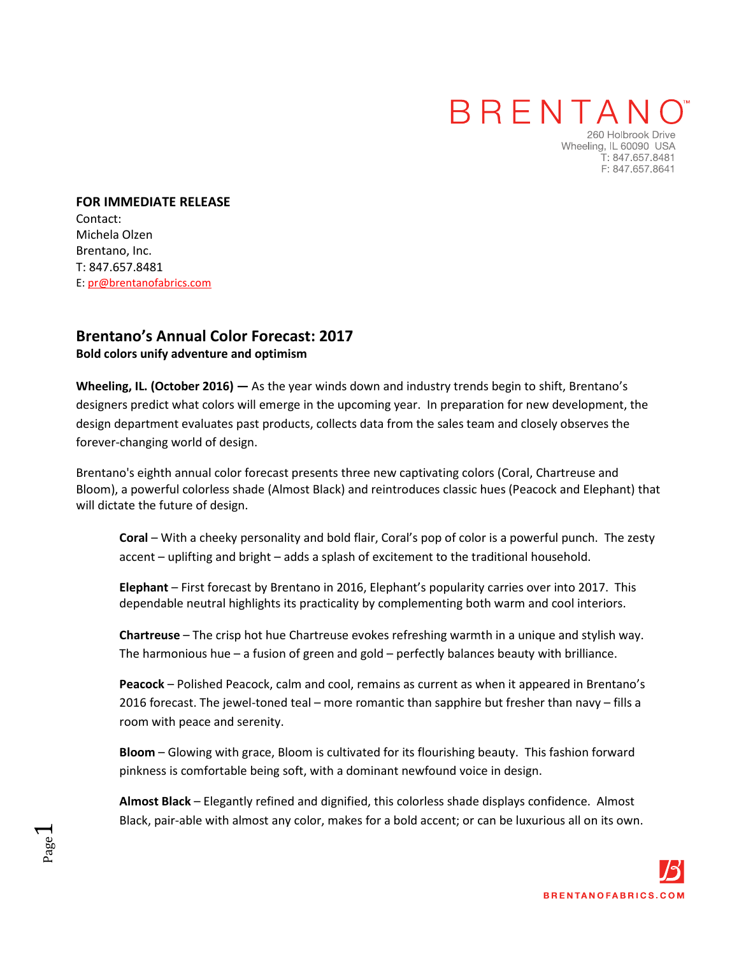## **BRENTAN**

260 Holbrook Drive Wheeling, IL 60090 USA T: 847.657.8481 F: 847.657.8641

**FOR IMMEDIATE RELEASE**  Contact: Michela Olzen Brentano, Inc. T: 847.657.8481 E: pr@brentanofabrics.com

Page  $\overline{\phantom{0}}$ 

## **[Brentano's](http://www.brentanofabrics.com/default.aspx) Annual Color Forecast: 2017**

**Bold colors unify adventure and optimism** 

**Wheeling, IL. (October 2016) —** As the year winds down and industry trends begin to shift, Brentano's designers predict what colors will emerge in the upcoming year. In preparation for new development, the design department evaluates past products, collects data from the sales team and closely observes the forever-changing world of design.

Brentano's eighth annual color forecast presents three new captivating colors (Coral, Chartreuse and Bloom), a powerful colorless shade (Almost Black) and reintroduces classic hues (Peacock and Elephant) that will dictate the future of design.

**Coral** – With a cheeky personality and bold flair, Coral's pop of color is a powerful punch. The zesty accent – uplifting and bright – adds a splash of excitement to the traditional household.

**Elephant** – First forecast by Brentano in 2016, Elephant's popularity carries over into 2017. This dependable neutral highlights its practicality by complementing both warm and cool interiors.

**Chartreuse** – The crisp hot hue Chartreuse evokes refreshing warmth in a unique and stylish way. The harmonious hue – a fusion of green and gold – perfectly balances beauty with brilliance.

**Peacock** – Polished Peacock, calm and cool, remains as current as when it appeared in Brentano's 2016 forecast. The jewel-toned teal – more romantic than sapphire but fresher than navy – fills a room with peace and serenity.

**Bloom** – Glowing with grace, Bloom is cultivated for its flourishing beauty. This fashion forward pinkness is comfortable being soft, with a dominant newfound voice in design.

**Almost Black** – Elegantly refined and dignified, this colorless shade displays confidence. Almost Black, pair-able with almost any color, makes for a bold accent; or can be luxurious all on its own.